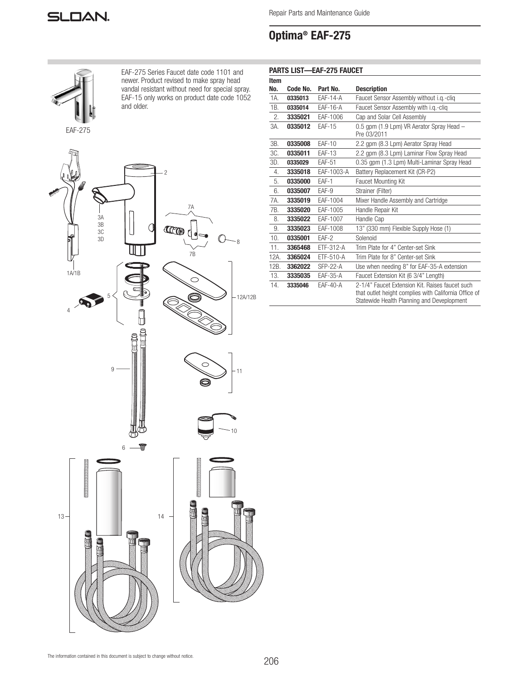

Repair Parts and Maintenance Guide

# Optima® EAF-275



ł,

EAF-275 Series Faucet date code 1101 and newer. Product revised to make spray head vandal resistant without need for special spray. EAF-15 only works on product date code 1052 and older.

| <b>PARTS LIST-EAF-275 FAUCET</b> |          |               |                                                                                                                                                        |
|----------------------------------|----------|---------------|--------------------------------------------------------------------------------------------------------------------------------------------------------|
| <b>Item</b>                      |          |               |                                                                                                                                                        |
| No.                              | Code No. | Part No.      | <b>Description</b>                                                                                                                                     |
| 1A.                              | 0335013  | $FAF-14-A$    | Faucet Sensor Assembly without i.g.-clig                                                                                                               |
| 1B.                              | 0335014  | $EAF-16-A$    | Faucet Sensor Assembly with i.g.-clig                                                                                                                  |
| 2.                               | 3335021  | EAF-1006      | Cap and Solar Cell Assembly                                                                                                                            |
| 3A.                              | 0335012  | <b>FAF-15</b> | 0.5 gpm (1.9 Lpm) VR Aerator Spray Head -<br>Pre 03/2011                                                                                               |
| 3B.                              | 0335008  | $FAF-10$      | 2.2 gpm (8.3 Lpm) Aerator Spray Head                                                                                                                   |
| 3C.                              | 0335011  | <b>EAF-13</b> | 2.2 gpm (8.3 Lpm) Laminar Flow Spray Head                                                                                                              |
| 3D.                              | 0335029  | <b>EAF-51</b> | 0.35 gpm (1.3 Lpm) Multi-Laminar Spray Head                                                                                                            |
| 4.                               | 3335018  | EAF-1003-A    | Battery Replacement Kit (CR-P2)                                                                                                                        |
| 5.                               | 0335000  | EAF-1         | Faucet Mounting Kit                                                                                                                                    |
| 6.                               | 0335007  | EAF-9         | Strainer (Filter)                                                                                                                                      |
| 7A.                              | 3335019  | EAF-1004      | Mixer Handle Assembly and Cartridge                                                                                                                    |
| 7B.                              | 3335020  | EAF-1005      | Handle Repair Kit                                                                                                                                      |
| Į<br>8.                          | 3335022  | EAF-1007      | Handle Cap                                                                                                                                             |
| 9.                               | 3335023  | EAF-1008      | 13" (330 mm) Flexible Supply Hose (1)                                                                                                                  |
| 10.                              | 0335001  | EAF-2         | Solenoid                                                                                                                                               |
| 11.                              | 3365468  | ETF-312-A     | Trim Plate for 4" Center-set Sink                                                                                                                      |
| §12A.                            | 3365024  | ETF-510-A     | Trim Plate for 8" Center-set Sink                                                                                                                      |
| ≩12B.                            | 3362022  | $SFP-22-A$    | Use when needing 8" for EAF-35-A extension                                                                                                             |
| 13.                              | 3335035  | EAF-35-A      | Faucet Extension Kit (6 3/4" Length)                                                                                                                   |
| Í<br>14.<br>www.www.ww           | 3335046  | $FAF-40-A$    | 2-1/4" Faucet Extension Kit, Raises faucet such<br>that outlet height complies with California Office of<br>Statewide Health Planning and Deveplopment |



The information contained in this document is subject to change without notice.